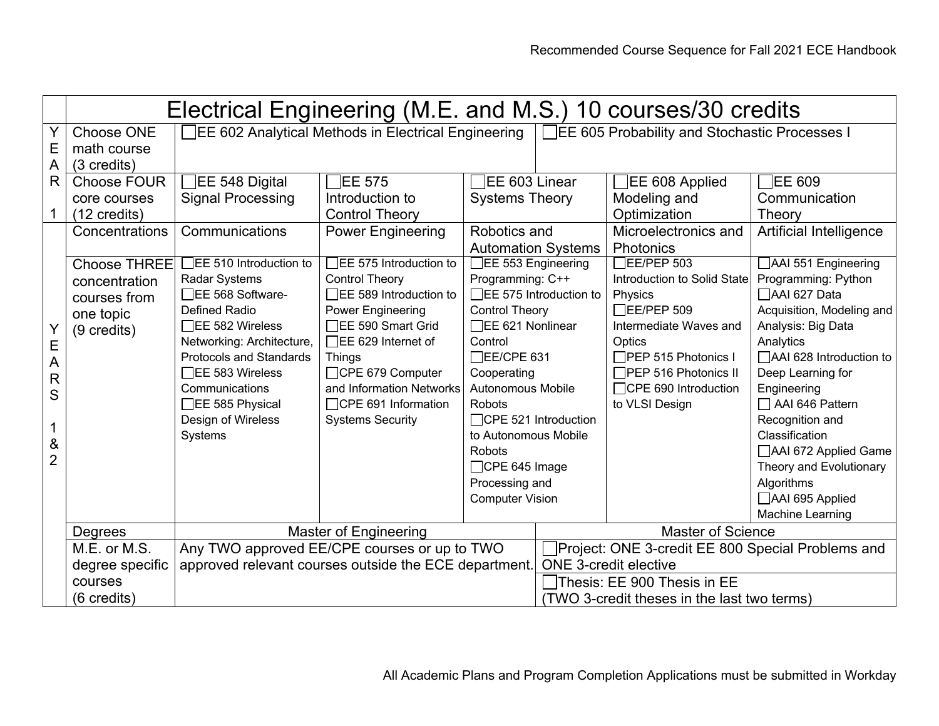|                                                                                    | Electrical Engineering (M.E. and M.S.) 10 courses/30 credits                                                                                                       |                                                                                                                                                                                                                                                                                                                                                                                            |                                                                                                                                                                                                                                                                                                                                                                                                             |                                                                                                                                                                                                                                                                                                                                                                                                                       |  |                                                                                                                                                                                                                                                                                                                                 |                                                                                                                                                                                                                                                                                                                                                                                                                                          |  |  |  |
|------------------------------------------------------------------------------------|--------------------------------------------------------------------------------------------------------------------------------------------------------------------|--------------------------------------------------------------------------------------------------------------------------------------------------------------------------------------------------------------------------------------------------------------------------------------------------------------------------------------------------------------------------------------------|-------------------------------------------------------------------------------------------------------------------------------------------------------------------------------------------------------------------------------------------------------------------------------------------------------------------------------------------------------------------------------------------------------------|-----------------------------------------------------------------------------------------------------------------------------------------------------------------------------------------------------------------------------------------------------------------------------------------------------------------------------------------------------------------------------------------------------------------------|--|---------------------------------------------------------------------------------------------------------------------------------------------------------------------------------------------------------------------------------------------------------------------------------------------------------------------------------|------------------------------------------------------------------------------------------------------------------------------------------------------------------------------------------------------------------------------------------------------------------------------------------------------------------------------------------------------------------------------------------------------------------------------------------|--|--|--|
| Y<br>E<br>A                                                                        | Choose ONE<br>math course<br>(3 credits)                                                                                                                           | EE 602 Analytical Methods in Electrical Engineering<br>□EE 605 Probability and Stochastic Processes I                                                                                                                                                                                                                                                                                      |                                                                                                                                                                                                                                                                                                                                                                                                             |                                                                                                                                                                                                                                                                                                                                                                                                                       |  |                                                                                                                                                                                                                                                                                                                                 |                                                                                                                                                                                                                                                                                                                                                                                                                                          |  |  |  |
| R.<br>1<br>E<br>$\overline{A}$<br>$\mathsf{R}$<br>S<br>1<br>$\&$<br>$\overline{2}$ | Choose FOUR<br>core courses<br>(12 credits)<br>Concentrations<br><b>Choose THREE</b><br>concentration<br>courses from<br>one topic<br>(9 credits)                  | $\exists$ EE 548 Digital<br><b>Signal Processing</b><br>Communications<br>$\overline{\mathsf{TE}}$ 510 Introduction to<br><b>Radar Systems</b><br>EE 568 Software-<br><b>Defined Radio</b><br>$\Box$ EE 582 Wireless<br>Networking: Architecture,<br><b>Protocols and Standards</b><br>$\Box$ EE 583 Wireless<br>Communications<br>$\Box$ EE 585 Physical<br>Design of Wireless<br>Systems | $\overline{\phantom{a}}$ EE 575<br>Introduction to<br><b>Control Theory</b><br><b>Power Engineering</b><br>$\overline{\phantom{a}}$ EE 575 Introduction to<br><b>Control Theory</b><br>□EE 589 Introduction to<br>Power Engineering<br>□EE 590 Smart Grid<br>$\Box$ EE 629 Internet of<br><b>Things</b><br>□CPE 679 Computer<br>and Information Networks<br>□CPE 691 Information<br><b>Systems Security</b> | EE 603 Linear<br><b>Systems Theory</b><br>Robotics and<br><b>Automation Systems</b><br>EE 553 Engineering<br>Programming: C++<br>□EE 575 Introduction to<br><b>Control Theory</b><br>□EE 621 Nonlinear<br>Control<br>□EE/CPE 631<br>Cooperating<br>Autonomous Mobile<br><b>Robots</b><br>□CPE 521 Introduction<br>to Autonomous Mobile<br><b>Robots</b><br>□CPE 645 Image<br>Processing and<br><b>Computer Vision</b> |  | EE 608 Applied<br>Modeling and<br>Optimization<br>Microelectronics and<br>Photonics<br>$\overline{\phantom{a}}$ EE/PEP 503<br>Introduction to Solid State<br>Physics<br>$\Box$ EE/PEP 509<br>Intermediate Waves and<br>Optics<br>□PEP 515 Photonics I<br>$\Box$ PEP 516 Photonics II<br>□CPE 690 Introduction<br>to VLSI Design | <b>EE 609</b><br>Communication<br>Theory<br>Artificial Intelligence<br>AAI 551 Engineering<br>Programming: Python<br>AAI 627 Data<br>Acquisition, Modeling and<br>Analysis: Big Data<br>Analytics<br>□AAI 628 Introduction to<br>Deep Learning for<br>Engineering<br>$\Box$ AAI 646 Pattern<br>Recognition and<br>Classification<br>AAI 672 Applied Game<br>Theory and Evolutionary<br>Algorithms<br>AAI 695 Applied<br>Machine Learning |  |  |  |
|                                                                                    | Degrees                                                                                                                                                            |                                                                                                                                                                                                                                                                                                                                                                                            | <b>Master of Engineering</b>                                                                                                                                                                                                                                                                                                                                                                                | <b>Master of Science</b>                                                                                                                                                                                                                                                                                                                                                                                              |  |                                                                                                                                                                                                                                                                                                                                 |                                                                                                                                                                                                                                                                                                                                                                                                                                          |  |  |  |
|                                                                                    | M.E. or M.S.<br>Any TWO approved EE/CPE courses or up to TWO<br>approved relevant courses outside the ECE department.<br>degree specific<br>courses<br>(6 credits) |                                                                                                                                                                                                                                                                                                                                                                                            |                                                                                                                                                                                                                                                                                                                                                                                                             |                                                                                                                                                                                                                                                                                                                                                                                                                       |  | Project: ONE 3-credit EE 800 Special Problems and<br><b>ONE 3-credit elective</b><br>Thesis: EE 900 Thesis in EE<br>(TWO 3-credit theses in the last two terms)                                                                                                                                                                 |                                                                                                                                                                                                                                                                                                                                                                                                                                          |  |  |  |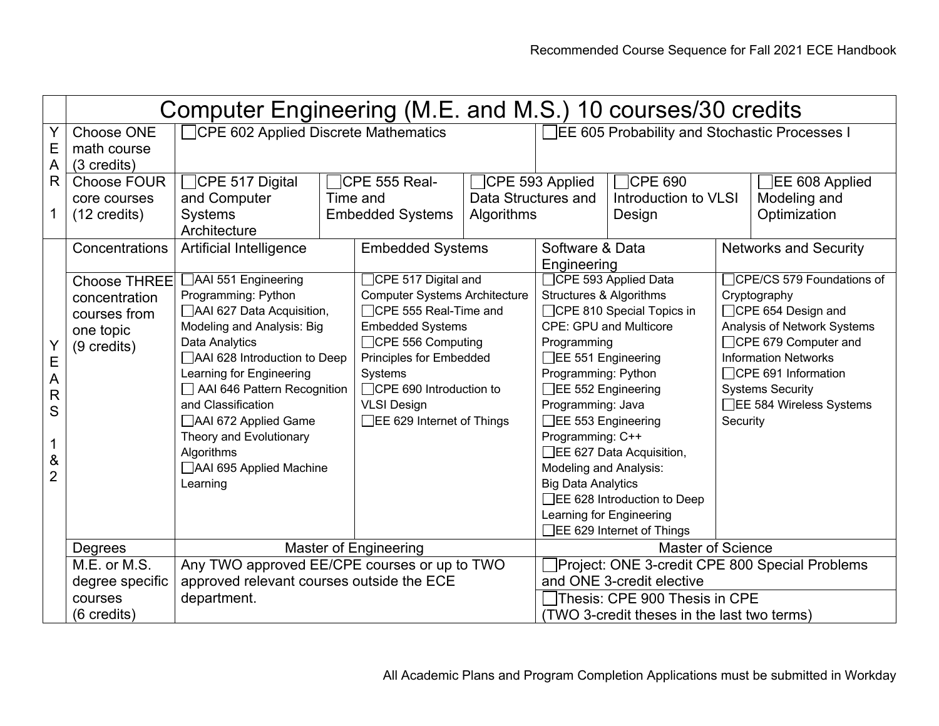|                         | Computer Engineering (M.E. and M.S.) 10 courses/30 credits |                                                                                           |          |                                                |                                               |                                             |                                                |                                                     |                              |  |  |
|-------------------------|------------------------------------------------------------|-------------------------------------------------------------------------------------------|----------|------------------------------------------------|-----------------------------------------------|---------------------------------------------|------------------------------------------------|-----------------------------------------------------|------------------------------|--|--|
| Y                       | Choose ONE                                                 | <b>CPE 602 Applied Discrete Mathematics</b>                                               |          |                                                | EE 605 Probability and Stochastic Processes I |                                             |                                                |                                                     |                              |  |  |
| $\mathsf E$             | math course                                                |                                                                                           |          |                                                |                                               |                                             |                                                |                                                     |                              |  |  |
| $\overline{A}$          | (3 credits)                                                |                                                                                           |          |                                                |                                               |                                             |                                                |                                                     |                              |  |  |
| $\mathsf{R}$            | <b>Choose FOUR</b>                                         | CPE 517 Digital                                                                           |          | CPE 555 Real-<br>$\Box$ CPE 593 Applied        |                                               | $\Box$ CPE 690                              |                                                |                                                     | EE 608 Applied               |  |  |
|                         | core courses                                               | and Computer                                                                              | Time and |                                                | Data Structures and                           |                                             | Introduction to VLSI                           |                                                     | Modeling and                 |  |  |
| $\mathbf 1$             | $(12 \text{ credits})$                                     | <b>Systems</b>                                                                            |          | <b>Embedded Systems</b>                        | Algorithms                                    |                                             | Design                                         |                                                     | Optimization                 |  |  |
|                         |                                                            | Architecture                                                                              |          |                                                |                                               |                                             |                                                |                                                     |                              |  |  |
|                         | Concentrations                                             | Artificial Intelligence                                                                   |          | <b>Embedded Systems</b>                        |                                               | Software & Data                             |                                                |                                                     | <b>Networks and Security</b> |  |  |
|                         |                                                            |                                                                                           |          |                                                | Engineering                                   |                                             |                                                |                                                     |                              |  |  |
|                         | <b>Choose THREE</b>                                        | AAI 551 Engineering                                                                       |          | □CPE 517 Digital and                           |                                               | CPE 593 Applied Data                        |                                                | <b>CPE/CS 579 Foundations of</b>                    |                              |  |  |
|                         | concentration                                              | Programming: Python                                                                       |          | <b>Computer Systems Architecture</b>           |                                               | Structures & Algorithms                     |                                                | Cryptography                                        |                              |  |  |
|                         | courses from                                               | AAI 627 Data Acquisition,                                                                 |          | $\Box$ CPE 555 Real-Time and                   |                                               | □CPE 810 Special Topics in                  |                                                | $\Box$ CPE 654 Design and                           |                              |  |  |
|                         | one topic                                                  | Modeling and Analysis: Big                                                                |          | <b>Embedded Systems</b>                        |                                               | <b>CPE: GPU and Multicore</b>               |                                                | Analysis of Network Systems                         |                              |  |  |
| Y<br>E                  | (9 credits)                                                | Data Analytics                                                                            |          | $\Box$ CPE 556 Computing                       |                                               | Programming                                 |                                                | □CPE 679 Computer and                               |                              |  |  |
|                         |                                                            | AAI 628 Introduction to Deep                                                              |          | Principles for Embedded                        |                                               | □EE 551 Engineering                         |                                                | <b>Information Networks</b>                         |                              |  |  |
| $\overline{A}$          |                                                            | Learning for Engineering                                                                  |          | Systems                                        |                                               | Programming: Python                         |                                                | □CPE 691 Information                                |                              |  |  |
| $\overline{\mathsf{R}}$ |                                                            | AAI 646 Pattern Recognition<br>and Classification                                         |          | □CPE 690 Introduction to<br><b>VLSI Design</b> |                                               | EE 552 Engineering<br>Programming: Java     |                                                | <b>Systems Security</b><br>□EE 584 Wireless Systems |                              |  |  |
| S                       |                                                            | AAI 672 Applied Game                                                                      |          | □EE 629 Internet of Things                     |                                               | $\Box$ EE 553 Engineering                   |                                                | Security                                            |                              |  |  |
|                         |                                                            | Theory and Evolutionary                                                                   |          |                                                |                                               | Programming: C++                            |                                                |                                                     |                              |  |  |
| $\mathbf 1$             |                                                            | Algorithms                                                                                |          |                                                |                                               | □EE 627 Data Acquisition,                   |                                                |                                                     |                              |  |  |
| $\&$                    |                                                            | AAI 695 Applied Machine                                                                   |          |                                                |                                               | Modeling and Analysis:                      |                                                |                                                     |                              |  |  |
| $\overline{2}$          |                                                            | Learning                                                                                  |          |                                                |                                               | <b>Big Data Analytics</b>                   |                                                |                                                     |                              |  |  |
|                         |                                                            |                                                                                           |          |                                                |                                               |                                             | □EE 628 Introduction to Deep                   |                                                     |                              |  |  |
|                         |                                                            |                                                                                           |          |                                                |                                               | Learning for Engineering                    |                                                |                                                     |                              |  |  |
|                         |                                                            |                                                                                           |          |                                                |                                               |                                             | □EE 629 Internet of Things                     |                                                     |                              |  |  |
|                         | Degrees                                                    | Master of Engineering                                                                     |          |                                                |                                               |                                             | <b>Master of Science</b>                       |                                                     |                              |  |  |
|                         | M.E. or M.S.                                               | Any TWO approved EE/CPE courses or up to TWO<br>approved relevant courses outside the ECE |          |                                                |                                               |                                             | Project: ONE 3-credit CPE 800 Special Problems |                                                     |                              |  |  |
|                         | degree specific                                            |                                                                                           |          |                                                |                                               |                                             | and ONE 3-credit elective                      |                                                     |                              |  |  |
|                         | department.<br>courses                                     |                                                                                           |          |                                                |                                               | Thesis: CPE 900 Thesis in CPE               |                                                |                                                     |                              |  |  |
|                         | (6 credits)                                                |                                                                                           |          |                                                |                                               | (TWO 3-credit theses in the last two terms) |                                                |                                                     |                              |  |  |